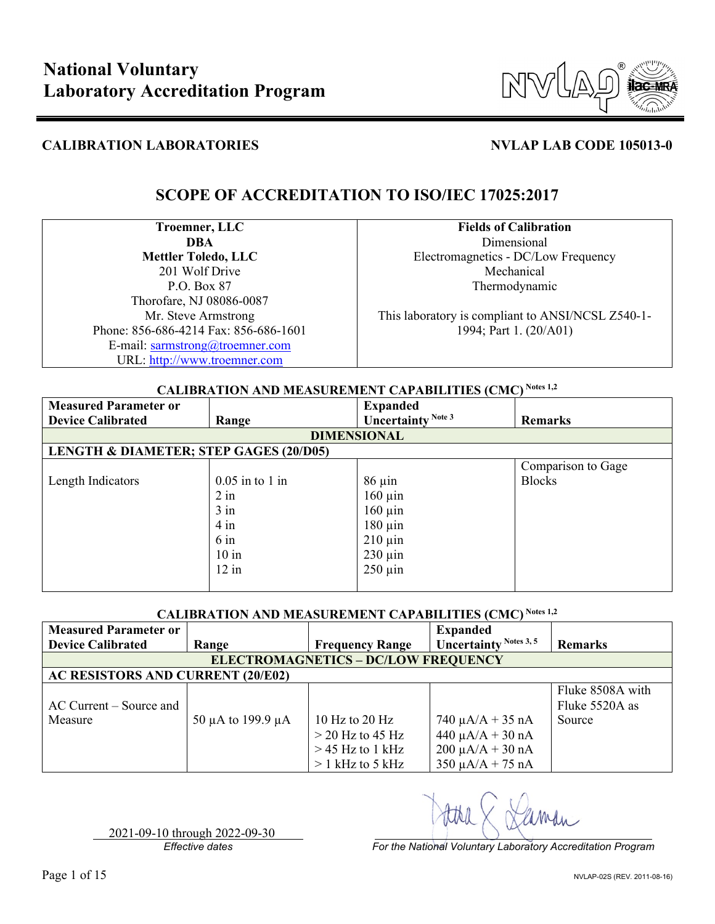

## **SCOPE OF ACCREDITATION TO ISO/IEC 17025:2017**

**Troemner, LLC DBA Mettler Toledo, LLC** 201 Wolf Drive P.O. Box 87 Thorofare, NJ 08086-0087 Mr. Steve Armstrong Phone: 856-686-4214 Fax: 856-686-1601 E-mail: [sarmstrong@troemner.com](mailto:sarmstrong@troemner.com) URL: [http://www.troemner.com](http://www.troemner.com/)

**Fields of Calibration** Dimensional Electromagnetics - DC/Low Frequency Mechanical Thermodynamic

This laboratory is compliant to ANSI/NCSL Z540-1- 1994; Part 1. (20/A01)

### **CALIBRATION AND MEASUREMENT CAPABILITIES (CMC) Notes 1,2**

| <b>Measured Parameter or</b>                      |                   | <b>Expanded</b>               |                    |
|---------------------------------------------------|-------------------|-------------------------------|--------------------|
| <b>Device Calibrated</b>                          | Range             | Uncertainty <sup>Note 3</sup> | Remarks            |
|                                                   |                   | <b>DIMENSIONAL</b>            |                    |
| <b>LENGTH &amp; DIAMETER; STEP GAGES (20/D05)</b> |                   |                               |                    |
|                                                   |                   |                               | Comparison to Gage |
| Length Indicators                                 | $0.05$ in to 1 in | $86 \mu$ in                   | <b>Blocks</b>      |
|                                                   | $2$ in            | $160 \mu$ in                  |                    |
|                                                   | $3$ in            | $160 \mu$ in                  |                    |
|                                                   | $4$ in            | $180 \mu$ in                  |                    |
|                                                   | $6 \text{ in}$    | $210 \,\mathrm{\mu}$ in       |                    |
|                                                   | $10$ in           | $230 \mu$ in                  |                    |
|                                                   | $12$ in           | $250 \mu$ in                  |                    |
|                                                   |                   |                               |                    |

### **CALIBRATION AND MEASUREMENT CAPABILITIES (CMC) Notes 1,2**

| <b>Measured Parameter or</b>             |                             |                                            | <b>Expanded</b>        |                  |
|------------------------------------------|-----------------------------|--------------------------------------------|------------------------|------------------|
| <b>Device Calibrated</b>                 | Range                       | <b>Frequency Range</b>                     | Uncertainty Notes 3, 5 | <b>Remarks</b>   |
|                                          |                             | <b>ELECTROMAGNETICS - DC/LOW FREQUENCY</b> |                        |                  |
| <b>AC RESISTORS AND CURRENT (20/E02)</b> |                             |                                            |                        |                  |
|                                          |                             |                                            |                        | Fluke 8508A with |
| AC Current – Source and                  |                             |                                            |                        | Fluke 5520A as   |
| Measure                                  | 50 $\mu$ A to 199.9 $\mu$ A | 10 Hz to 20 Hz                             | $740 \mu A/A + 35 nA$  | Source           |
|                                          |                             | $>$ 20 Hz to 45 Hz                         | $440 \mu A/A + 30 nA$  |                  |
|                                          |                             | $>$ 45 Hz to 1 kHz                         | $200 \mu A/A + 30 nA$  |                  |
|                                          |                             | $> 1$ kHz to 5 kHz                         | $350 \mu A/A + 75 nA$  |                  |

2021-09-10 through 2022-09-30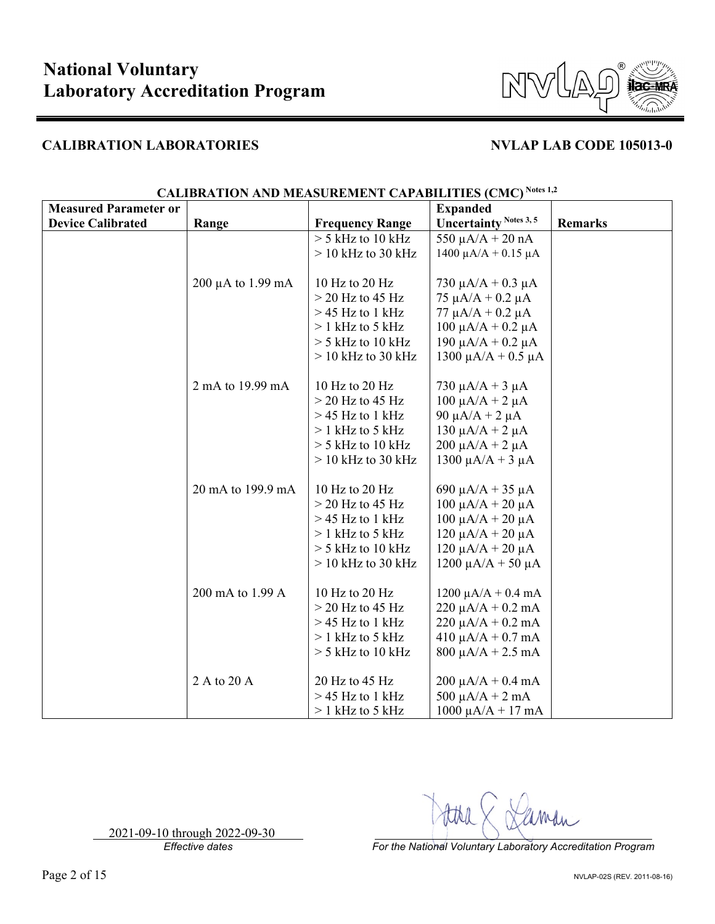

| <b>Measured Parameter or</b> |                        |                        | <b>Expanded</b>                 |                |
|------------------------------|------------------------|------------------------|---------------------------------|----------------|
| <b>Device Calibrated</b>     | Range                  | <b>Frequency Range</b> | <b>Uncertainty Notes 3, 5</b>   | <b>Remarks</b> |
|                              |                        | $>$ 5 kHz to 10 kHz    | 550 $\mu$ A/A + 20 nA           |                |
|                              |                        | $>$ 10 kHz to 30 kHz   | $1400 \mu A/A + 0.15 \mu A$     |                |
|                              |                        |                        |                                 |                |
|                              | $200 \mu A$ to 1.99 mA | 10 Hz to 20 Hz         | 730 $\mu$ A/A + 0.3 $\mu$ A     |                |
|                              |                        | $>$ 20 Hz to 45 Hz     | $75 \mu A/A + 0.2 \mu A$        |                |
|                              |                        | $>$ 45 Hz to 1 kHz     | $77 \mu A/A + 0.2 \mu A$        |                |
|                              |                        | $> 1$ kHz to 5 kHz     | $100 \mu A/A + 0.2 \mu A$       |                |
|                              |                        | $>$ 5 kHz to 10 kHz    | 190 μA/A + 0.2 μA               |                |
|                              |                        | $>$ 10 kHz to 30 kHz   | 1300 μA/A + 0.5 μA              |                |
|                              |                        |                        |                                 |                |
|                              | 2 mA to 19.99 mA       | 10 Hz to 20 Hz         | 730 $\mu$ A/A + 3 $\mu$ A       |                |
|                              |                        | $>$ 20 Hz to 45 Hz     | $100 \mu A/A + 2 \mu A$         |                |
|                              |                        | $>$ 45 Hz to 1 kHz     | 90 μ $A/A$ + 2 μ $A$            |                |
|                              |                        | $> 1$ kHz to 5 kHz     | 130 μA/A + 2 μA                 |                |
|                              |                        | $>$ 5 kHz to 10 kHz    | $200 \mu A/A + 2 \mu A$         |                |
|                              |                        | $>$ 10 kHz to 30 kHz   | $1300 \mu A/A + 3 \mu A$        |                |
|                              |                        |                        |                                 |                |
|                              | 20 mA to 199.9 mA      | 10 Hz to 20 Hz         | 690 $\mu$ A/A + 35 $\mu$ A      |                |
|                              |                        | $>$ 20 Hz to 45 Hz     | $100 \mu A/A + 20 \mu A$        |                |
|                              |                        | $>$ 45 Hz to 1 kHz     | $100 \mu A/A + 20 \mu A$        |                |
|                              |                        | $> 1$ kHz to 5 kHz     | $120 \mu A/A + 20 \mu A$        |                |
|                              |                        | $>$ 5 kHz to 10 kHz    | $120 \mu A/A + 20 \mu A$        |                |
|                              |                        | $>$ 10 kHz to 30 kHz   | $1200 \mu A/A + 50 \mu A$       |                |
|                              |                        |                        |                                 |                |
|                              | 200 mA to 1.99 A       | 10 Hz to 20 Hz         | $1200 \mu A/A + 0.4 \text{ mA}$ |                |
|                              |                        | $>$ 20 Hz to 45 Hz     | $220 \mu A/A + 0.2 \text{ mA}$  |                |
|                              |                        | $>$ 45 Hz to 1 kHz     | $220 \mu A/A + 0.2 \text{ mA}$  |                |
|                              |                        | $> 1$ kHz to 5 kHz     | $410 \mu A/A + 0.7 \text{ mA}$  |                |
|                              |                        | $>$ 5 kHz to 10 kHz    | $800 \mu A/A + 2.5 \text{ mA}$  |                |
|                              |                        |                        |                                 |                |
|                              | 2 A to 20 A            | 20 Hz to 45 Hz         | $200 \mu A/A + 0.4 \text{ mA}$  |                |
|                              |                        | $>$ 45 Hz to 1 kHz     | 500 $\mu$ A/A + 2 mA            |                |
|                              |                        | $> 1$ kHz to 5 kHz     | $1000 \mu A/A + 17 \text{ mA}$  |                |

# **CALIBRATION AND MEASUREMENT CAPABILITIES (CMC) Notes 1,2**

2021-09-10 through 2022-09-30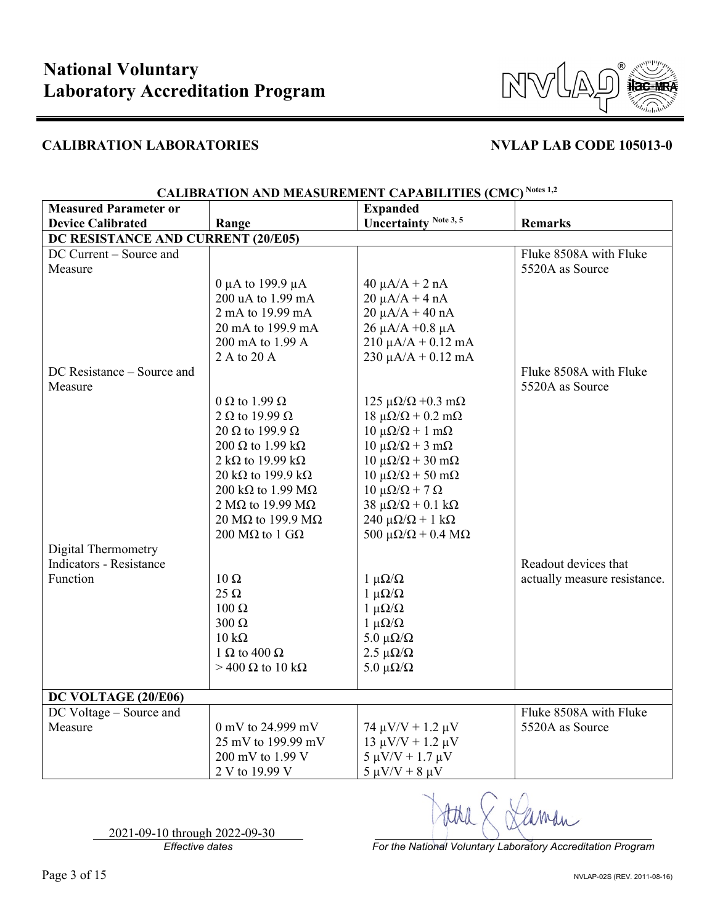

| <b>Measured Parameter or</b>       |                                   | <b>Expanded</b>                             |                              |  |  |  |
|------------------------------------|-----------------------------------|---------------------------------------------|------------------------------|--|--|--|
| <b>Device Calibrated</b>           | Range                             | <b>Uncertainty Note 3, 5</b>                | <b>Remarks</b>               |  |  |  |
| DC RESISTANCE AND CURRENT (20/E05) |                                   |                                             |                              |  |  |  |
| DC Current - Source and            |                                   |                                             | Fluke 8508A with Fluke       |  |  |  |
| Measure                            |                                   |                                             | 5520A as Source              |  |  |  |
|                                    | 0 μA to 199.9 μA                  | $40 \mu A/A + 2 nA$                         |                              |  |  |  |
|                                    | 200 uA to 1.99 mA                 | $20 \mu A/A + 4 nA$                         |                              |  |  |  |
|                                    | 2 mA to 19.99 mA                  | $20 \mu A/A + 40 nA$                        |                              |  |  |  |
|                                    | 20 mA to 199.9 mA                 | $26$ μA/A +0.8 μA                           |                              |  |  |  |
|                                    | 200 mA to 1.99 A                  | $210 \mu A/A + 0.12 \text{ mA}$             |                              |  |  |  |
|                                    | 2 A to 20 A                       | $230 \mu A/A + 0.12 \text{ mA}$             |                              |  |  |  |
| DC Resistance - Source and         |                                   |                                             | Fluke 8508A with Fluke       |  |  |  |
| Measure                            |                                   |                                             | 5520A as Source              |  |  |  |
|                                    | 0 $\Omega$ to 1.99 $\Omega$       | 125 $\mu\Omega/\Omega$ +0.3 m $\Omega$      |                              |  |  |  |
|                                    | 2 $\Omega$ to 19.99 $\Omega$      | $18 \mu\Omega/\Omega + 0.2 \text{ m}\Omega$ |                              |  |  |  |
|                                    | 20 $\Omega$ to 199.9 $\Omega$     | $10 \mu\Omega/\Omega + 1 \text{ m}\Omega$   |                              |  |  |  |
|                                    | 200 $\Omega$ to 1.99 k $\Omega$   | $10 \mu\Omega/\Omega + 3 \mu\Omega$         |                              |  |  |  |
|                                    | 2 k $\Omega$ to 19.99 k $\Omega$  | $10 \mu\Omega/\Omega + 30 \mu\Omega$        |                              |  |  |  |
|                                    | 20 k $\Omega$ to 199.9 k $\Omega$ | $10 \mu\Omega/\Omega$ + 50 m $\Omega$       |                              |  |  |  |
|                                    | 200 k $\Omega$ to 1.99 M $\Omega$ | $10 \mu\Omega/\Omega$ + 7 Ω                 |                              |  |  |  |
|                                    | 2 M $\Omega$ to 19.99 M $\Omega$  | 38 μ $\Omega/\Omega$ + 0.1 kΩ               |                              |  |  |  |
|                                    | 20 M $\Omega$ to 199.9 M $\Omega$ | 240 μ $\Omega/\Omega$ + 1 kΩ                |                              |  |  |  |
|                                    | 200 MΩ to 1 GΩ                    | 500 $\mu\Omega/\Omega$ + 0.4 M $\Omega$     |                              |  |  |  |
| Digital Thermometry                |                                   |                                             |                              |  |  |  |
| <b>Indicators - Resistance</b>     |                                   |                                             | Readout devices that         |  |  |  |
| Function                           | $10 \Omega$                       | $1 \mu\Omega/\Omega$                        | actually measure resistance. |  |  |  |
|                                    | $25 \Omega$                       | $1 \mu\Omega/\Omega$                        |                              |  |  |  |
|                                    | 100 Ω                             | $1 \mu\Omega/\Omega$                        |                              |  |  |  |
|                                    | $300 \Omega$                      | $1 \mu\Omega/\Omega$                        |                              |  |  |  |
|                                    | $10 \text{ k}\Omega$              | 5.0 $\mu\Omega/\Omega$                      |                              |  |  |  |
|                                    | 1 $\Omega$ to 400 $\Omega$        | $2.5 \mu\Omega/\Omega$                      |                              |  |  |  |
|                                    | $>$ 400 Ω to 10 kΩ                | $5.0 \ \mu\Omega/\Omega$                    |                              |  |  |  |
| DC VOLTAGE (20/E06)                |                                   |                                             |                              |  |  |  |
| DC Voltage - Source and            |                                   |                                             | Fluke 8508A with Fluke       |  |  |  |
| Measure                            | 0 mV to 24.999 mV                 | 74 μV/V + 1.2 μV                            | 5520A as Source              |  |  |  |
|                                    | 25 mV to 199.99 mV                | $13 \mu V/V + 1.2 \mu V$                    |                              |  |  |  |
|                                    | 200 mV to 1.99 V                  | $5 \mu V/V + 1.7 \mu V$                     |                              |  |  |  |
|                                    | 2 V to 19.99 V                    | $5 \mu V/V + 8 \mu V$                       |                              |  |  |  |
|                                    |                                   |                                             |                              |  |  |  |

### **CALIBRATION AND MEASUREMENT CAPABILITIES (CMC) Notes 1,2**

2021-09-10 through 2022-09-30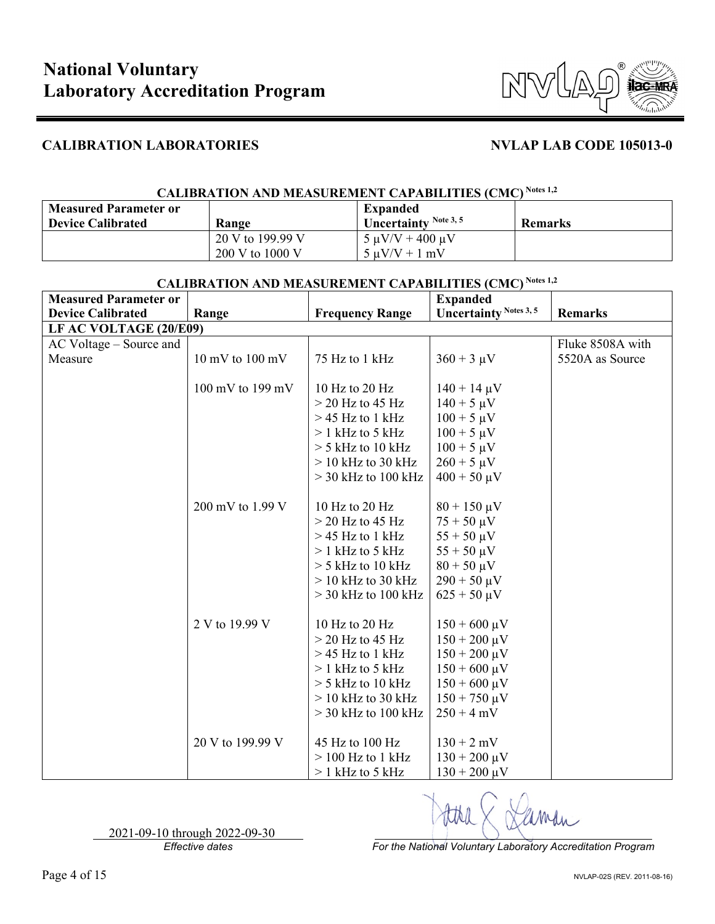

## **CALIBRATION AND MEASUREMENT CAPABILITIES (CMC) Notes 1,2**

| <b>Measured Parameter or</b> |                  | <b>Expanded</b>         |                |
|------------------------------|------------------|-------------------------|----------------|
| <b>Device Calibrated</b>     | Range            | Uncertainty Note 3, 5   | <b>Remarks</b> |
|                              | 20 V to 199.99 V | $5 \mu V/V + 400 \mu V$ |                |
|                              | 200 V to 1000 V  | $5 \mu V/V + 1 \mu V$   |                |

| <b>Measured Parameter or</b> |                                     |                        | <b>Expanded</b>               |                  |
|------------------------------|-------------------------------------|------------------------|-------------------------------|------------------|
| <b>Device Calibrated</b>     | Range                               | <b>Frequency Range</b> | <b>Uncertainty Notes 3, 5</b> | <b>Remarks</b>   |
| LF AC VOLTAGE (20/E09)       |                                     |                        |                               |                  |
| AC Voltage – Source and      |                                     |                        |                               | Fluke 8508A with |
| Measure                      | $10 \text{ mV}$ to $100 \text{ mV}$ | 75 Hz to 1 kHz         | $360 + 3 \mu V$               | 5520A as Source  |
|                              |                                     |                        |                               |                  |
|                              | 100 mV to 199 mV                    | 10 Hz to 20 Hz         | $140 + 14 \mu V$              |                  |
|                              |                                     | $>$ 20 Hz to 45 Hz     | $140 + 5 \mu V$               |                  |
|                              |                                     | $>$ 45 Hz to 1 kHz     | $100 + 5 \mu V$               |                  |
|                              |                                     | $> 1$ kHz to 5 kHz     | $100 + 5 \mu V$               |                  |
|                              |                                     | $>$ 5 kHz to 10 kHz    | $100 + 5 \mu V$               |                  |
|                              |                                     | $>$ 10 kHz to 30 kHz   | $260 + 5 \mu V$               |                  |
|                              |                                     | $>$ 30 kHz to 100 kHz  | $400 + 50 \,\mu V$            |                  |
|                              |                                     |                        |                               |                  |
|                              | 200 mV to 1.99 V                    | 10 Hz to 20 Hz         | $80 + 150 \,\mu V$            |                  |
|                              |                                     | $>$ 20 Hz to 45 Hz     | $75 + 50 \mu V$               |                  |
|                              |                                     | $>$ 45 Hz to 1 kHz     | $55 + 50 \mu V$               |                  |
|                              |                                     | $> 1$ kHz to 5 kHz     | $55 + 50 \mu V$               |                  |
|                              |                                     | $>$ 5 kHz to 10 kHz    | $80 + 50 \mu V$               |                  |
|                              |                                     | $>$ 10 kHz to 30 kHz   | $290 + 50 \mu V$              |                  |
|                              |                                     | $>$ 30 kHz to 100 kHz  | $625 + 50 \mu V$              |                  |
|                              |                                     |                        |                               |                  |
|                              | 2 V to 19.99 V                      | 10 Hz to 20 Hz         | $150 + 600 \mu V$             |                  |
|                              |                                     | $>$ 20 Hz to 45 Hz     | $150 + 200 \,\mu V$           |                  |
|                              |                                     | $>$ 45 Hz to 1 kHz     | $150 + 200 \mu V$             |                  |
|                              |                                     | $> 1$ kHz to 5 kHz     | $150 + 600 \,\mu V$           |                  |
|                              |                                     | $>$ 5 kHz to 10 kHz    | $150 + 600 \mu V$             |                  |
|                              |                                     | $>$ 10 kHz to 30 kHz   | $150 + 750 \,\mu V$           |                  |
|                              |                                     | $>$ 30 kHz to 100 kHz  | $250 + 4$ mV                  |                  |
|                              |                                     |                        |                               |                  |
|                              | 20 V to 199.99 V                    | 45 Hz to 100 Hz        | $130 + 2$ mV                  |                  |
|                              |                                     | $> 100$ Hz to 1 kHz    | $130 + 200 \,\mu V$           |                  |
|                              |                                     | $>1$ kHz to 5 kHz      | $130 + 200 \mu V$             |                  |

## **CALIBRATION AND MEASUREMENT CAPABILITIES (CMC) Notes 1,2**

2021-09-10 through 2022-09-30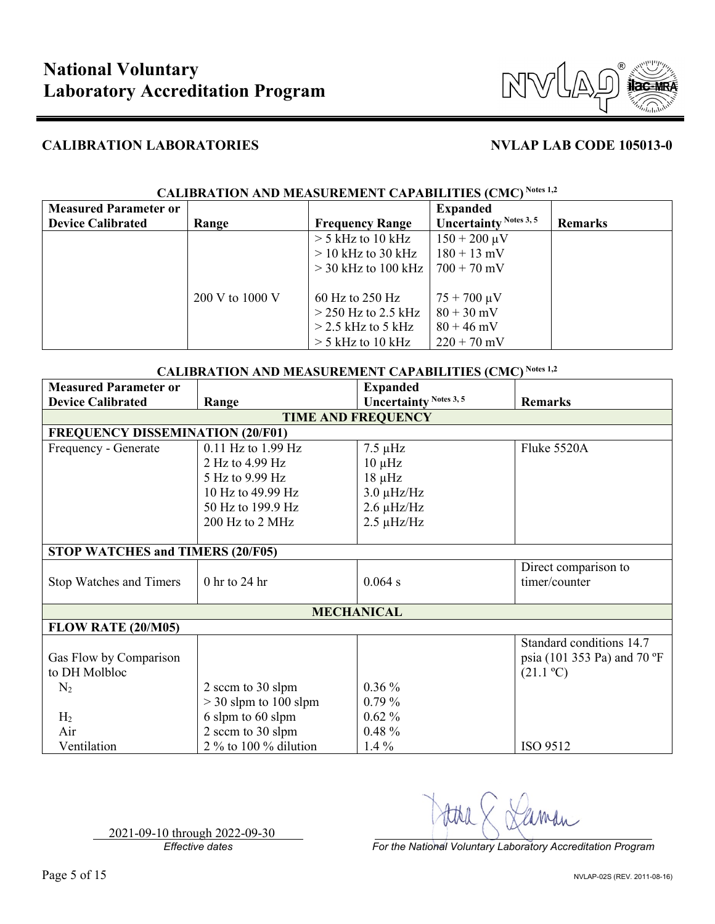

| <b>Measured Parameter or</b> |                 |                        | <b>Expanded</b>        |                |
|------------------------------|-----------------|------------------------|------------------------|----------------|
| <b>Device Calibrated</b>     | Range           | <b>Frequency Range</b> | Uncertainty Notes 3, 5 | <b>Remarks</b> |
|                              |                 | $>$ 5 kHz to 10 kHz    | $150 + 200 \,\mu V$    |                |
|                              |                 | $>$ 10 kHz to 30 kHz   | $180 + 13$ mV          |                |
|                              |                 | $>$ 30 kHz to 100 kHz  | $700 + 70$ mV          |                |
|                              |                 |                        |                        |                |
|                              | 200 V to 1000 V | $60$ Hz to 250 Hz      | $75 + 700 \,\mu V$     |                |
|                              |                 | $>$ 250 Hz to 2.5 kHz  | $80 + 30$ mV           |                |
|                              |                 | $>$ 2.5 kHz to 5 kHz   | $80 + 46$ mV           |                |
|                              |                 | $>$ 5 kHz to 10 kHz    | $220 + 70$ mV          |                |

# **CALIBRATION AND MEASUREMENT CAPABILITIES (CMC) Notes 1,2**

| <b>CALIBRATION AND MEASUREMENT CAPABILITIES (CMC)</b> Notes 1,2 |                         |                               |                                         |  |
|-----------------------------------------------------------------|-------------------------|-------------------------------|-----------------------------------------|--|
| <b>Measured Parameter or</b>                                    |                         | <b>Expanded</b>               |                                         |  |
| <b>Device Calibrated</b>                                        | Range                   | <b>Uncertainty Notes 3, 5</b> | <b>Remarks</b>                          |  |
|                                                                 |                         | <b>TIME AND FREQUENCY</b>     |                                         |  |
| <b>FREQUENCY DISSEMINATION (20/F01)</b>                         |                         |                               |                                         |  |
| Frequency - Generate                                            | 0.11 Hz to 1.99 Hz      | $7.5 \mu$ Hz                  | Fluke 5520A                             |  |
|                                                                 | 2 Hz to 4.99 Hz         | $10 \mu$ Hz                   |                                         |  |
|                                                                 | 5 Hz to 9.99 Hz         | $18 \mu$ Hz                   |                                         |  |
|                                                                 | 10 Hz to 49.99 Hz       | $3.0 \mu$ Hz/Hz               |                                         |  |
|                                                                 | 50 Hz to 199.9 Hz       | $2.6 \mu$ Hz/Hz               |                                         |  |
|                                                                 | 200 Hz to 2 MHz         | $2.5 \mu$ Hz/Hz               |                                         |  |
|                                                                 |                         |                               |                                         |  |
| STOP WATCHES and TIMERS (20/F05)                                |                         |                               |                                         |  |
|                                                                 |                         |                               | Direct comparison to                    |  |
| Stop Watches and Timers                                         | $0$ hr to 24 hr         | 0.064 s                       | timer/counter                           |  |
|                                                                 |                         |                               |                                         |  |
|                                                                 |                         | <b>MECHANICAL</b>             |                                         |  |
| <b>FLOW RATE (20/M05)</b>                                       |                         |                               |                                         |  |
|                                                                 |                         |                               | Standard conditions 14.7                |  |
| Gas Flow by Comparison                                          |                         |                               | psia (101 353 Pa) and 70 $\mathrm{^oF}$ |  |
| to DH Molbloc                                                   |                         |                               | (21.1 °C)                               |  |
| $N_2$                                                           | 2 sccm to 30 slpm       | $0.36\%$                      |                                         |  |
|                                                                 | $>$ 30 slpm to 100 slpm | $0.79\%$                      |                                         |  |
| H <sub>2</sub>                                                  | 6 slpm to 60 slpm       | $0.62\%$                      |                                         |  |
| Air                                                             | 2 sccm to 30 slpm       | $0.48 \%$                     |                                         |  |
| Ventilation                                                     | 2 % to 100 % dilution   | $1.4\%$                       | ISO 9512                                |  |

2021-09-10 through 2022-09-30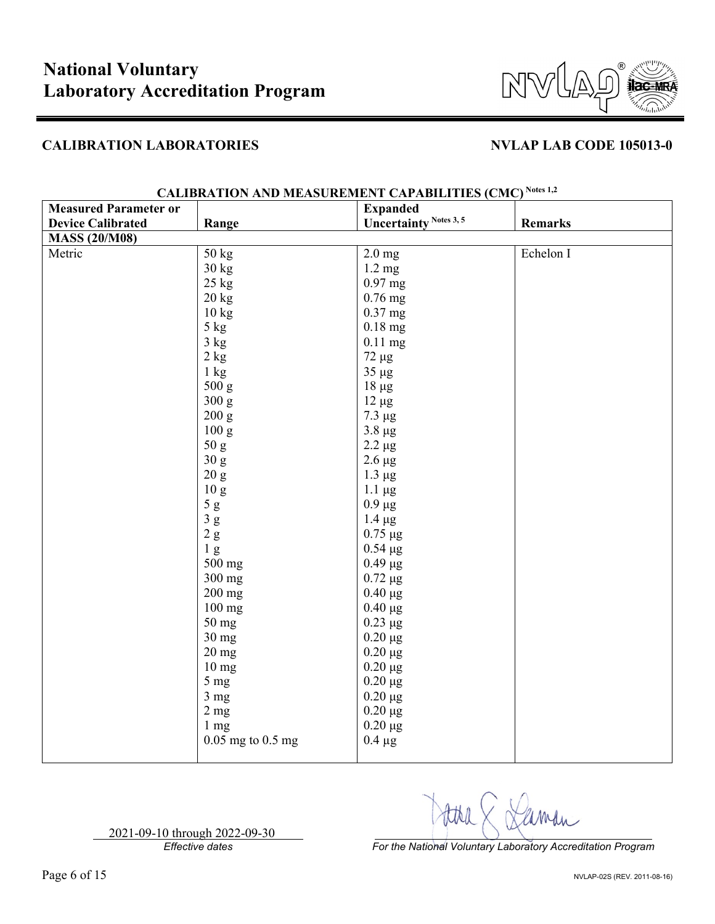

| <b>Measured Parameter or</b>      | <b>Expanded</b>               |                |
|-----------------------------------|-------------------------------|----------------|
| <b>Device Calibrated</b><br>Range | <b>Uncertainty Notes 3, 5</b> | <b>Remarks</b> |
| <b>MASS (20/M08)</b>              |                               |                |
| Metric<br>50 kg                   | $2.0 \text{ mg}$              | Echelon I      |
| 30 kg                             | $1.2 \text{ mg}$              |                |
| 25 kg                             | $0.97$ mg                     |                |
| 20 kg                             | $0.76$ mg                     |                |
| 10 kg                             | $0.37$ mg                     |                |
| 5 kg                              | $0.18$ mg                     |                |
| 3 kg                              | $0.11$ mg                     |                |
| $2\;{\rm kg}$                     | $72 \mu g$                    |                |
| $1 \text{ kg}$                    | $35 \mu g$                    |                |
| 500 g                             | $18 \mu g$                    |                |
| 300 g                             | $12 \mu g$                    |                |
| 200 g                             | $7.3 \mu g$                   |                |
| 100 g                             | $3.8 \mu g$                   |                |
| 50 g                              | $2.2 \mu g$                   |                |
| 30 g                              | $2.6 \mu g$                   |                |
| $20\ {\rm g}$                     | $1.3 \mu g$                   |                |
| $10\ {\rm g}$                     | $1.1 \mu g$                   |                |
| $5\ \mathrm{g}$                   | $0.9 \mu g$                   |                |
| $3\ {\rm g}$                      | $1.4 \mu g$                   |                |
| $2\ \mathrm{g}$                   | $0.75 \mu g$                  |                |
| 1 <sub>g</sub>                    | $0.54 \mu g$                  |                |
| 500 mg                            | $0.49 \mu g$                  |                |
| 300 mg                            | $0.72 \mu g$                  |                |
| $200$ mg                          | $0.40 \mu g$                  |                |
| $100$ mg                          | $0.40 \mu g$                  |                |
| 50 mg                             | $0.23 \mu g$                  |                |
| $30$ mg                           | $0.20 \mu g$                  |                |
| $20$ mg                           | $0.20 \mu g$                  |                |
| 10 <sub>mg</sub>                  | $0.20 \ \mu g$                |                |
| 5 <sub>mg</sub>                   | $0.20 \ \mu g$                |                |
| 3 <sub>mg</sub>                   | $0.20 \ \mu g$                |                |
| 2 <sub>mg</sub>                   | $0.20 \mu g$                  |                |
| $1 \text{ mg}$                    | $0.20 \ \mu g$                |                |
| $0.05$ mg to $0.5$ mg             | $0.4 \mu g$                   |                |

### **CALIBRATION AND MEASUREMENT CAPABILITIES (CMC) Notes 1,2**

2021-09-10 through 2022-09-30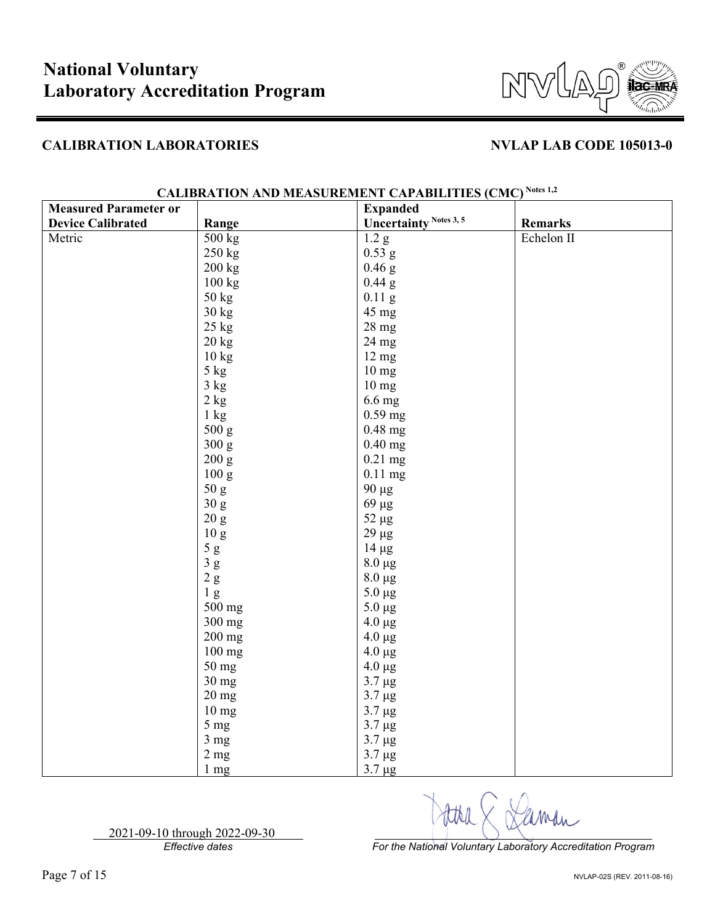

| <b>Measured Parameter or</b> |                  | <b>Expanded</b>               |                |
|------------------------------|------------------|-------------------------------|----------------|
| <b>Device Calibrated</b>     | Range            | <b>Uncertainty Notes 3, 5</b> | <b>Remarks</b> |
| Metric                       | 500 kg           | 1.2 <sub>g</sub>              | Echelon II     |
|                              | $250$ kg         | $0.53$ g                      |                |
|                              | 200 kg           | $0.46$ g                      |                |
|                              | 100 kg           | $0.44$ g                      |                |
|                              | 50 kg            | $0.11$ g                      |                |
|                              | 30 kg            | 45 mg                         |                |
|                              | $25$ kg          | 28 mg                         |                |
|                              | $20 \text{ kg}$  | 24 mg                         |                |
|                              | 10 kg            | $12 \text{ mg}$               |                |
|                              | $5~\mathrm{kg}$  | 10 <sub>mg</sub>              |                |
|                              | 3 kg             | $10 \text{ mg}$               |                |
|                              | $2\;{\rm kg}$    | 6.6 mg                        |                |
|                              | $1 \text{ kg}$   | $0.59$ mg                     |                |
|                              | 500 g            | $0.48$ mg                     |                |
|                              | 300 g            | $0.40$ mg                     |                |
|                              | 200 g            | $0.21$ mg                     |                |
|                              | $100\:{\rm g}$   | $0.11$ mg                     |                |
|                              | $50\ \mathrm{g}$ | 90 µg                         |                |
|                              | 30 g             | 69 μg                         |                |
|                              | 20 g             | $52 \ \mu g$                  |                |
|                              | $10\ {\rm g}$    | $29 \ \mu g$                  |                |
|                              | $5\ \mathrm{g}$  | $14 \mu g$                    |                |
|                              | $3\ {\rm g}$     | $8.0 \ \mu g$                 |                |
|                              | $2\ \mathrm{g}$  | $8.0 \ \mu g$                 |                |
|                              | 1 <sub>g</sub>   | $5.0 \ \mu g$                 |                |
|                              | 500 mg           | $5.0 \mu g$                   |                |
|                              | 300 mg           | $4.0 \ \mu g$                 |                |
|                              | 200 mg           | $4.0 \ \mu g$                 |                |
|                              | 100 mg           | $4.0 \ \mu g$                 |                |
|                              | 50 mg            | $4.0 \ \mu g$                 |                |
|                              | $30$ mg          | $3.7 \mu g$                   |                |
|                              | $20$ mg          | $3.7 \mu g$                   |                |
|                              | 10 <sub>mg</sub> | $3.7 \mu g$                   |                |
|                              | $5 \text{ mg}$   | $3.7 \mu g$                   |                |
|                              | $3 \text{ mg}$   | $3.7 \mu g$                   |                |
|                              | 2 <sub>mg</sub>  | $3.7 \mu g$                   |                |
|                              | 1 mg             | $3.7 \mu g$                   |                |

# **CALIBRATION AND MEASUREMENT CAPABILITIES (CMC) Notes 1,2**

2021-09-10 through 2022-09-30

*Effective dates For the National Voluntary Laboratory Accreditation Program*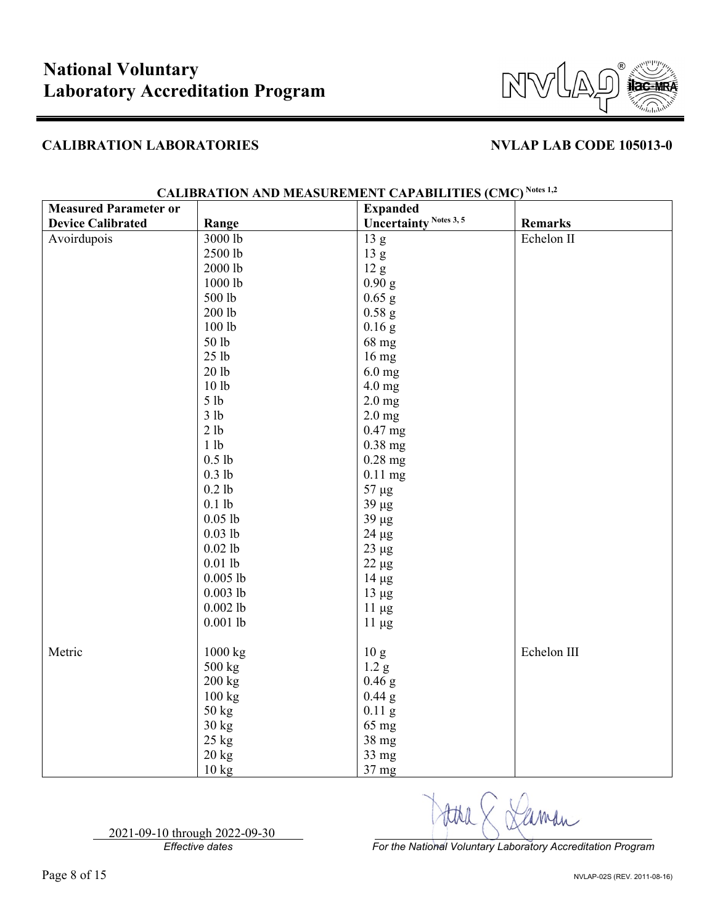

| <b>Measured Parameter or</b> |                  | <b>Expanded</b>               |                |
|------------------------------|------------------|-------------------------------|----------------|
| <b>Device Calibrated</b>     | Range            | <b>Uncertainty Notes 3, 5</b> | <b>Remarks</b> |
| Avoirdupois                  | 3000 lb          | 13 <sub>g</sub>               | Echelon II     |
|                              | 2500 lb          | 13 g                          |                |
|                              | 2000 lb          | 12 g                          |                |
|                              | 1000 lb          | 0.90 g                        |                |
|                              | 500 lb           | $0.65$ g                      |                |
|                              | 200 lb           | $0.58$ g                      |                |
|                              | 100 lb           | $0.16$ g                      |                |
|                              | 50 lb            | 68 mg                         |                |
|                              | 25 <sub>1b</sub> | 16 mg                         |                |
|                              | 20 <sub>1b</sub> | $6.0$ mg                      |                |
|                              | 101 <sub>b</sub> | 4.0 mg                        |                |
|                              | 5 lb             | $2.0$ mg                      |                |
|                              | 3 lb             | $2.0$ mg                      |                |
|                              | 2 lb             | $0.47$ mg                     |                |
|                              | 1 lb             | $0.38$ mg                     |                |
|                              | $0.5$ lb         | $0.28$ mg                     |                |
|                              | $0.3$ lb         | $0.11$ mg                     |                |
|                              | $0.2$ lb         | $57 \mu g$                    |                |
|                              | $0.1$ lb         | $39 \mu g$                    |                |
|                              | $0.05$ lb        | $39 \mu g$                    |                |
|                              | $0.03$ lb        | $24 \mu g$                    |                |
|                              | $0.02$ lb        | $23 \mu g$                    |                |
|                              | $0.01$ lb        | $22 \mu g$                    |                |
|                              | $0.005$ lb       | $14 \mu g$                    |                |
|                              | $0.003$ lb       | $13 \mu g$                    |                |
|                              | $0.002$ lb       | $11 \mu g$                    |                |
|                              | $0.001$ lb       | $11 \mu g$                    |                |
|                              |                  |                               |                |
| Metric                       | 1000 kg          | 10 <sub>g</sub>               | Echelon III    |
|                              | 500 kg           | 1.2 g                         |                |
|                              | $200$ kg         | $0.46$ g                      |                |
|                              | 100 kg           | $0.44$ g                      |                |
|                              | $50 \text{ kg}$  | $0.11$ g                      |                |
|                              | $30 \text{ kg}$  | 65 mg                         |                |
|                              | 25 kg            | 38 mg                         |                |
|                              | 20 kg            | 33 mg                         |                |
|                              | $10 \text{ kg}$  | 37 <sub>mg</sub>              |                |

# **CALIBRATION AND MEASUREMENT CAPABILITIES (CMC) Notes 1,2**

2021-09-10 through 2022-09-30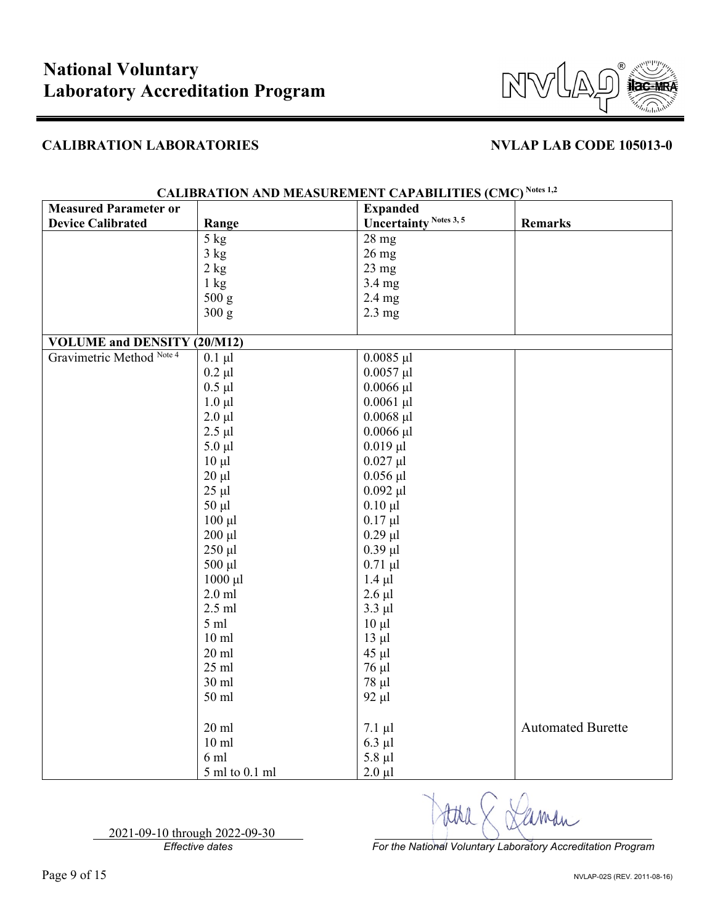

| <b>Measured Parameter or</b>       |                  | <b>Expanded</b>               |                          |
|------------------------------------|------------------|-------------------------------|--------------------------|
| <b>Device Calibrated</b>           | Range            | <b>Uncertainty Notes 3, 5</b> | <b>Remarks</b>           |
|                                    | $5 \text{ kg}$   | 28 mg                         |                          |
|                                    | 3 kg             | $26$ mg                       |                          |
|                                    | 2 kg             | $23$ mg                       |                          |
|                                    | $1 \text{ kg}$   | 3.4 mg                        |                          |
|                                    | 500 g            | $2.4$ mg                      |                          |
|                                    | 300 g            | $2.3 \text{ mg}$              |                          |
|                                    |                  |                               |                          |
| <b>VOLUME and DENSITY (20/M12)</b> |                  |                               |                          |
| Gravimetric Method Note 4          | $0.1 \mu l$      | $0.0085$ µl                   |                          |
|                                    | $0.2 \mu l$      | $0.0057$ µl                   |                          |
|                                    | $0.5$ µl         | $0.0066$ µl                   |                          |
|                                    | $1.0 \mu l$      | $0.0061$ µl                   |                          |
|                                    | $2.0 \mu l$      | $0.0068$ µl                   |                          |
|                                    | $2.5 \mu l$      | $0.0066$ $\mu$ l              |                          |
|                                    | $5.0 \mu l$      | $0.019$ $\mu$ l               |                          |
|                                    | $10 \mu l$       | $0.027$ µl                    |                          |
|                                    | $20 \mu l$       | $0.056$ µl                    |                          |
|                                    | $25 \mu l$       | $0.092 \mu l$                 |                          |
|                                    | $50 \mu l$       | $0.10 \mu l$                  |                          |
|                                    | $100 \mu l$      | $0.17 \mu l$                  |                          |
|                                    | $200 \mu l$      | $0.29$ $\mu$ l                |                          |
|                                    | $250 \mu l$      | $0.39$ $\mu$ l                |                          |
|                                    | 500 µl           | $0.71$ µl                     |                          |
|                                    | $1000 \mu l$     | $1.4 \mu l$                   |                          |
|                                    | $2.0$ ml         | $2.6$ $\mu$ l                 |                          |
|                                    | $2.5$ ml         | $3.3$ $\mu$ l                 |                          |
|                                    | $5 \text{ ml}$   | $10 \mu l$                    |                          |
|                                    | 10 <sub>ml</sub> | $13 \mu l$                    |                          |
|                                    | $20$ ml          | $45 \mu l$                    |                          |
|                                    | $25$ ml          | 76 μl                         |                          |
|                                    | 30 ml            | $78 \mu l$                    |                          |
|                                    | 50 ml            | $92 \mu l$                    |                          |
|                                    |                  |                               |                          |
|                                    | $20$ ml          | $7.1 \mu l$                   | <b>Automated Burette</b> |
|                                    | 10 <sub>ml</sub> | $6.3$ µl                      |                          |
|                                    | 6ml              | $5.8 \mu l$                   |                          |
|                                    | 5 ml to 0.1 ml   | $2.0 \mu l$                   |                          |

# **CALIBRATION AND MEASUREMENT CAPABILITIES (CMC) Notes 1,2**

2021-09-10 through 2022-09-30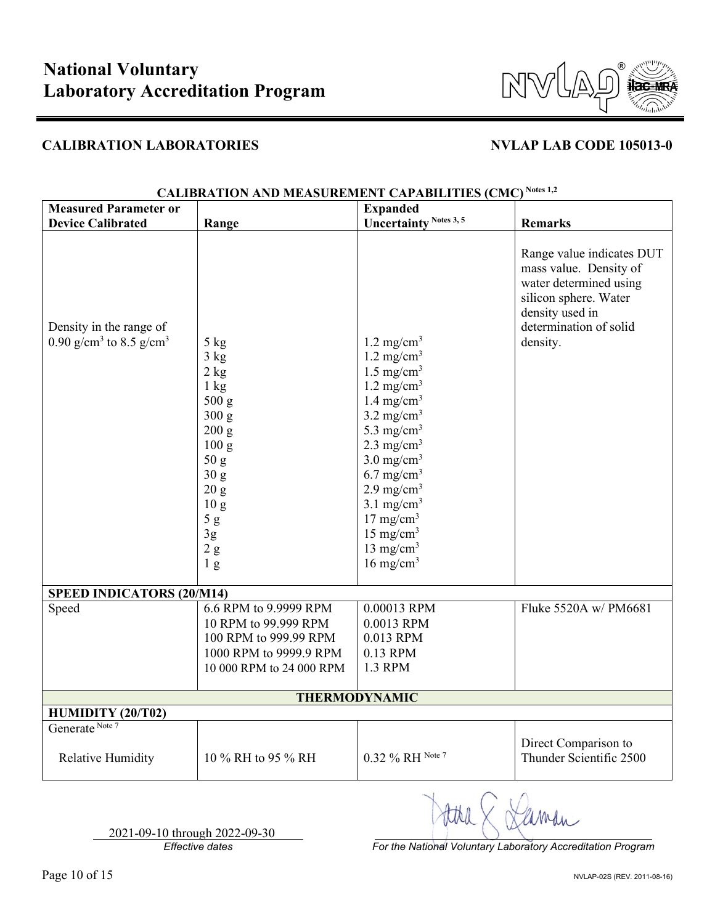

| <b>Measured Parameter or</b>                                               |                                                                                                                                                                                                                      | <b>Expanded</b>                                                                                                                                                                                                                                                                                                                                                                                                   |                                                                                                                                                                 |
|----------------------------------------------------------------------------|----------------------------------------------------------------------------------------------------------------------------------------------------------------------------------------------------------------------|-------------------------------------------------------------------------------------------------------------------------------------------------------------------------------------------------------------------------------------------------------------------------------------------------------------------------------------------------------------------------------------------------------------------|-----------------------------------------------------------------------------------------------------------------------------------------------------------------|
| <b>Device Calibrated</b>                                                   | Range                                                                                                                                                                                                                | <b>Uncertainty Notes 3, 5</b>                                                                                                                                                                                                                                                                                                                                                                                     | <b>Remarks</b>                                                                                                                                                  |
| Density in the range of<br>0.90 g/cm <sup>3</sup> to 8.5 g/cm <sup>3</sup> | 5 kg<br>3 kg<br>2 kg<br>$1 \text{ kg}$<br>500 g<br>300 g<br>200 g<br>100 g<br>50 <sub>g</sub><br>30 <sub>g</sub><br>20 g<br>10 <sub>g</sub><br>$5\ \mathrm{g}$<br>$3\mathrm{g}$<br>$2\ \mathrm{g}$<br>1 <sub>g</sub> | $1.2 \text{ mg/cm}^3$<br>$1.2 \text{ mg/cm}^3$<br>$1.5 \text{ mg/cm}^3$<br>$1.2 \text{ mg/cm}^3$<br>1.4 mg/cm <sup>3</sup><br>$3.2 \text{ mg/cm}^3$<br>5.3 mg/cm <sup>3</sup><br>$2.3 \text{ mg/cm}^3$<br>$3.0$ mg/cm <sup>3</sup><br>$6.7 \text{ mg/cm}^3$<br>$2.9 \text{ mg/cm}^3$<br>$3.1$ mg/cm <sup>3</sup><br>$17 \text{ mg/cm}^3$<br>$15 \text{ mg/cm}^3$<br>13 mg/cm <sup>3</sup><br>$16 \text{ mg/cm}^3$ | Range value indicates DUT<br>mass value. Density of<br>water determined using<br>silicon sphere. Water<br>density used in<br>determination of solid<br>density. |
| <b>SPEED INDICATORS (20/M14)</b>                                           |                                                                                                                                                                                                                      |                                                                                                                                                                                                                                                                                                                                                                                                                   |                                                                                                                                                                 |
| Speed                                                                      | 6.6 RPM to 9.9999 RPM<br>10 RPM to 99.999 RPM<br>100 RPM to 999.99 RPM<br>1000 RPM to 9999.9 RPM<br>10 000 RPM to 24 000 RPM                                                                                         | 0.00013 RPM<br>0.0013 RPM<br>0.013 RPM<br>0.13 RPM<br>1.3 RPM                                                                                                                                                                                                                                                                                                                                                     | Fluke 5520A w/ PM6681                                                                                                                                           |
| <b>THERMODYNAMIC</b>                                                       |                                                                                                                                                                                                                      |                                                                                                                                                                                                                                                                                                                                                                                                                   |                                                                                                                                                                 |
| HUMIDITY (20/T02)                                                          |                                                                                                                                                                                                                      |                                                                                                                                                                                                                                                                                                                                                                                                                   |                                                                                                                                                                 |
| Generate Note 7                                                            |                                                                                                                                                                                                                      |                                                                                                                                                                                                                                                                                                                                                                                                                   |                                                                                                                                                                 |
| <b>Relative Humidity</b>                                                   | 10 % RH to 95 % RH                                                                                                                                                                                                   | 0.32 % RH Note 7                                                                                                                                                                                                                                                                                                                                                                                                  | Direct Comparison to<br>Thunder Scientific 2500                                                                                                                 |

## **CALIBRATION AND MEASUREMENT CAPABILITIES (CMC) Notes 1,2**

2021-09-10 through 2022-09-30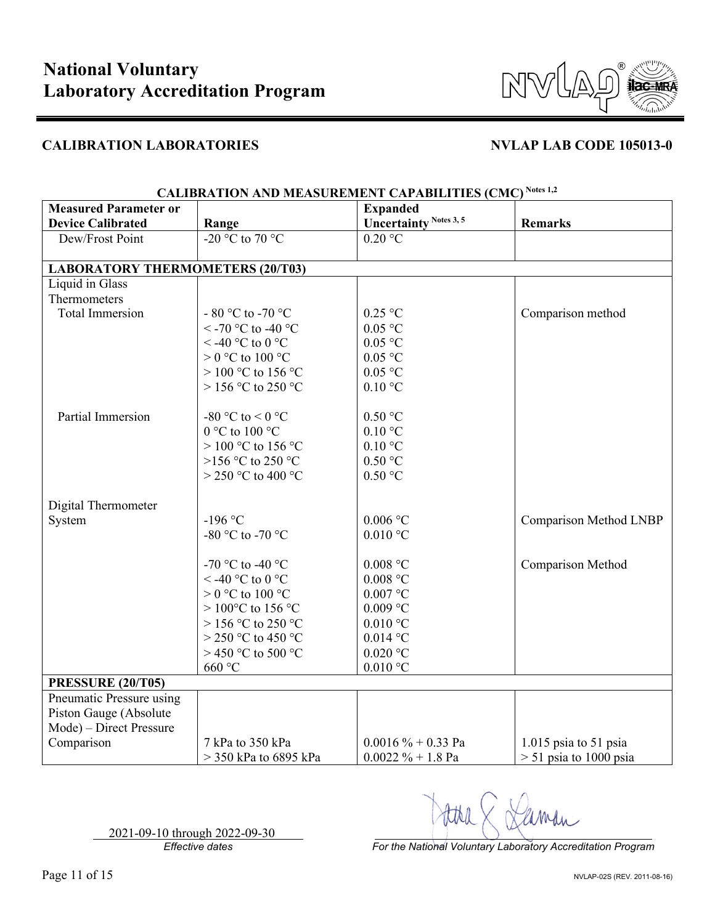

| <b>Measured Parameter or</b>            |                             | <b>Expanded</b>               |                               |
|-----------------------------------------|-----------------------------|-------------------------------|-------------------------------|
| <b>Device Calibrated</b>                | Range                       | <b>Uncertainty Notes 3, 5</b> | <b>Remarks</b>                |
| Dew/Frost Point                         | -20 °C to 70 °C             | $0.20$ °C                     |                               |
|                                         |                             |                               |                               |
| <b>LABORATORY THERMOMETERS (20/T03)</b> |                             |                               |                               |
| Liquid in Glass                         |                             |                               |                               |
| Thermometers                            |                             |                               |                               |
| <b>Total Immersion</b>                  | - 80 °C to -70 °C           | $0.25$ °C                     | Comparison method             |
|                                         | <-70 °C to -40 °C           | $0.05$ °C                     |                               |
|                                         | $<$ -40 °C to 0 °C          | $0.05\ ^{\circ}\textrm{C}$    |                               |
|                                         | $> 0$ °C to 100 °C          | $0.05$ °C                     |                               |
|                                         | $> 100$ °C to 156 °C        | $0.05$ °C                     |                               |
|                                         | $>$ 156 °C to 250 °C        | $0.10\ ^{\circ}\textrm{C}$    |                               |
| Partial Immersion                       | -80 °C to < 0 °C            | $0.50$ °C                     |                               |
|                                         | 0 °C to 100 °C              | $0.10\text{ °C}$              |                               |
|                                         | $> 100$ °C to 156 °C        | $0.10\text{ °C}$              |                               |
|                                         | >156 °C to 250 °C           | $0.50$ °C                     |                               |
|                                         | $>$ 250 °C to 400 °C        | $0.50$ °C                     |                               |
|                                         |                             |                               |                               |
| Digital Thermometer                     |                             |                               |                               |
| System                                  | $-196$ °C                   | $0.006$ °C                    | <b>Comparison Method LNBP</b> |
|                                         | -80 °C to -70 °C            | $0.010$ °C                    |                               |
|                                         |                             |                               |                               |
|                                         | -70 °C to -40 °C            | $0.008$ °C                    | Comparison Method             |
|                                         | < -40 °C to 0 °C            | $0.008$ °C                    |                               |
|                                         | $> 0$ °C to 100 °C          | $0.007\ ^{\circ}\textrm{C}$   |                               |
|                                         | $> 100^{\circ}$ C to 156 °C | $0.009$ °C                    |                               |
|                                         | $>$ 156 °C to 250 °C        | $0.010$ °C                    |                               |
|                                         | $>$ 250 °C to 450 °C        | $0.014$ °C                    |                               |
|                                         | > 450 °C to 500 °C          | $0.020\ ^{\circ}\textrm{C}$   |                               |
|                                         | 660 °C                      | $0.010$ °C                    |                               |
| <b>PRESSURE (20/T05)</b>                |                             |                               |                               |
| Pneumatic Pressure using                |                             |                               |                               |
| Piston Gauge (Absolute                  |                             |                               |                               |
| Mode) - Direct Pressure                 |                             |                               |                               |
| Comparison                              | 7 kPa to 350 kPa            | $0.0016 \% + 0.33$ Pa         | $1.015$ psia to 51 psia       |
|                                         | $>$ 350 kPa to 6895 kPa     | $0.0022 \% + 1.8$ Pa          | $> 51$ psia to 1000 psia      |

## **CALIBRATION AND MEASUREMENT CAPABILITIES (CMC) Notes 1,2**

2021-09-10 through 2022-09-30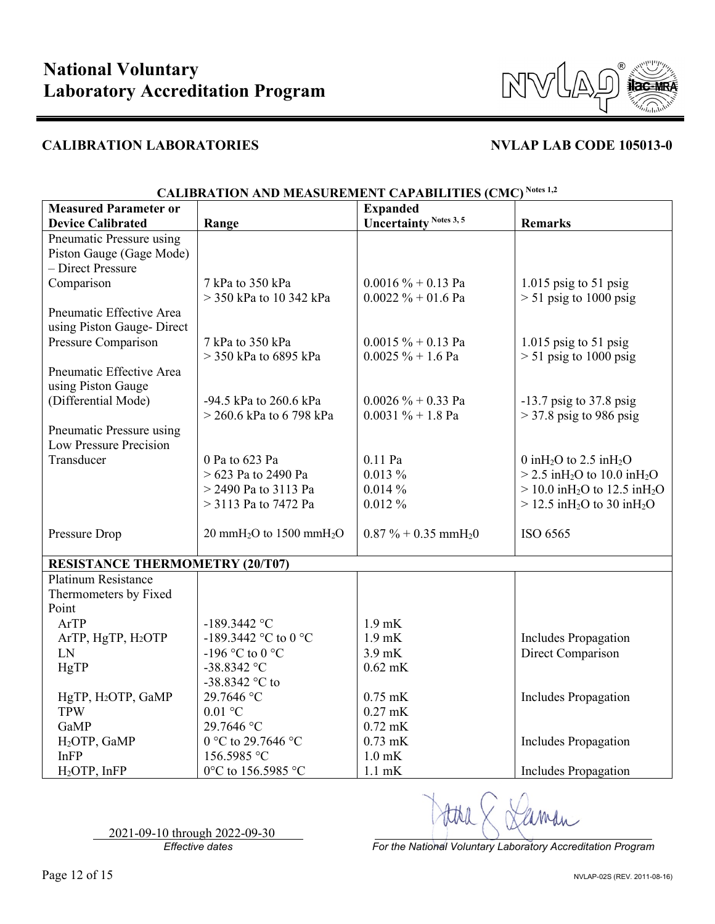

| <b>Measured Parameter or</b>           |                                                  | <b>Expanded</b>                    |                                                          |
|----------------------------------------|--------------------------------------------------|------------------------------------|----------------------------------------------------------|
| <b>Device Calibrated</b>               | Range                                            | <b>Uncertainty Notes 3, 5</b>      | <b>Remarks</b>                                           |
| Pneumatic Pressure using               |                                                  |                                    |                                                          |
| Piston Gauge (Gage Mode)               |                                                  |                                    |                                                          |
| - Direct Pressure                      |                                                  |                                    |                                                          |
| Comparison                             | 7 kPa to 350 kPa                                 | $0.0016 \% + 0.13 Pa$              | $1.015$ psig to 51 psig                                  |
|                                        | > 350 kPa to 10 342 kPa                          | $0.0022 \% + 01.6$ Pa              | $> 51$ psig to 1000 psig                                 |
| Pneumatic Effective Area               |                                                  |                                    |                                                          |
| using Piston Gauge- Direct             |                                                  |                                    |                                                          |
| Pressure Comparison                    | 7 kPa to 350 kPa                                 | $0.0015 \% + 0.13$ Pa              | $1.015$ psig to 51 psig                                  |
|                                        | $>$ 350 kPa to 6895 kPa                          | $0.0025 \% + 1.6$ Pa               | $> 51$ psig to 1000 psig                                 |
| Pneumatic Effective Area               |                                                  |                                    |                                                          |
| using Piston Gauge                     |                                                  |                                    |                                                          |
| (Differential Mode)                    | -94.5 kPa to 260.6 kPa                           | $0.0026 \% + 0.33$ Pa              | $-13.7$ psig to 37.8 psig                                |
|                                        | $>$ 260.6 kPa to 6 798 kPa                       | $0.0031 \% + 1.8$ Pa               | $>$ 37.8 psig to 986 psig                                |
| Pneumatic Pressure using               |                                                  |                                    |                                                          |
| Low Pressure Precision                 |                                                  |                                    |                                                          |
| Transducer                             | 0 Pa to 623 Pa                                   | $0.11$ Pa                          | 0 in $H_2O$ to 2.5 in $H_2O$                             |
|                                        | $> 623$ Pa to 2490 Pa                            | $0.013\%$                          | $>$ 2.5 inH <sub>2</sub> O to 10.0 inH <sub>2</sub> O    |
|                                        | > 2490 Pa to 3113 Pa                             | 0.014%                             | $> 10.0$ in H <sub>2</sub> O to 12.5 in H <sub>2</sub> O |
|                                        | $>$ 3113 Pa to 7472 Pa                           | $0.012\%$                          | $> 12.5$ in H <sub>2</sub> O to 30 in H <sub>2</sub> O   |
|                                        |                                                  |                                    |                                                          |
| Pressure Drop                          | 20 mmH <sub>2</sub> O to 1500 mmH <sub>2</sub> O | $0.87\% + 0.35$ mmH <sub>2</sub> 0 | ISO 6565                                                 |
|                                        |                                                  |                                    |                                                          |
| <b>RESISTANCE THERMOMETRY (20/T07)</b> |                                                  |                                    |                                                          |
| Platinum Resistance                    |                                                  |                                    |                                                          |
| Thermometers by Fixed                  |                                                  |                                    |                                                          |
| Point                                  |                                                  |                                    |                                                          |
| ArTP                                   | $-189.3442$ °C                                   | $1.9$ mK                           |                                                          |
| ArTP, HgTP, H2OTP                      | -189.3442 °C to 0 °C                             | $1.9$ mK                           | <b>Includes Propagation</b>                              |
| LN                                     | -196 °C to 0 °C                                  | $3.9$ mK                           | Direct Comparison                                        |
| HgTP                                   | $-38.8342$ °C                                    | $0.62$ mK                          |                                                          |
|                                        | -38.8342 $^{\circ}$ C to                         |                                    |                                                          |
| HgTP, H <sub>2</sub> OTP, GaMP         | 29.7646 °C                                       | $0.75$ mK                          | <b>Includes Propagation</b>                              |
| <b>TPW</b>                             | $0.01$ °C                                        | $0.27$ mK                          |                                                          |
| GaMP                                   | 29.7646 °C                                       | $0.72$ mK                          |                                                          |
| H <sub>2</sub> OTP, GaMP               | 0 °C to 29.7646 °C                               | $0.73$ mK                          | <b>Includes Propagation</b>                              |
| InFP                                   | 156.5985 °C                                      | $1.0$ mK                           |                                                          |
| H <sub>2</sub> OTP, InFP               | 0°C to 156.5985 °C                               | $1.1$ mK                           | <b>Includes Propagation</b>                              |

## **CALIBRATION AND MEASUREMENT CAPABILITIES (CMC) Notes 1,2**

2021-09-10 through 2022-09-30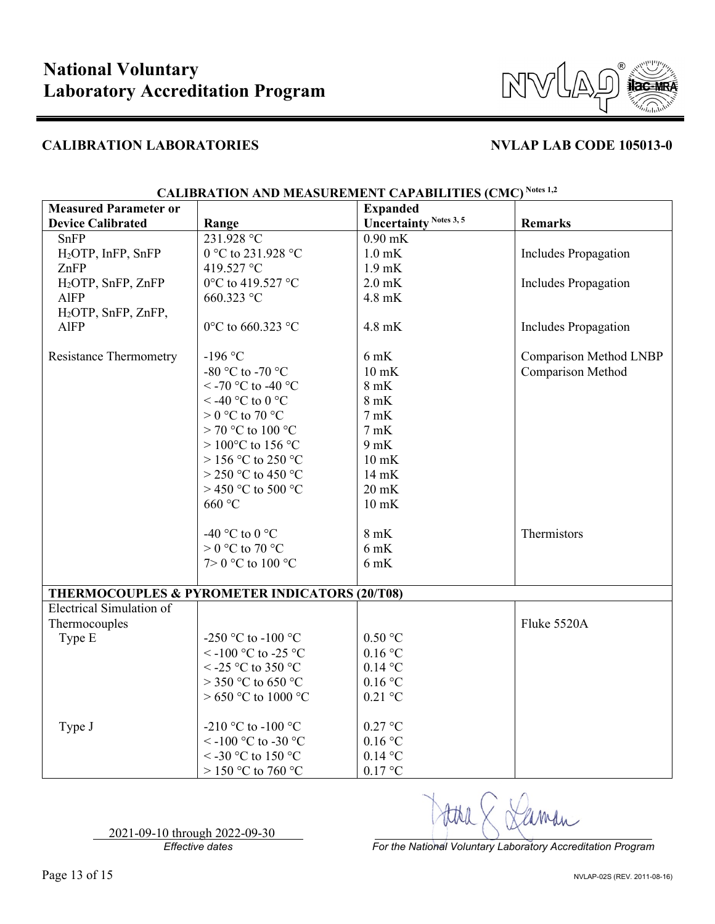

| <b>Measured Parameter or</b>    |                                                          | <b>Expanded</b>               |                               |
|---------------------------------|----------------------------------------------------------|-------------------------------|-------------------------------|
| <b>Device Calibrated</b>        | Range                                                    | <b>Uncertainty Notes 3, 5</b> | <b>Remarks</b>                |
| SnFP                            | 231.928 °C                                               | $0.90$ mK                     |                               |
| H <sub>2</sub> OTP, InFP, SnFP  | 0 °C to 231.928 °C                                       | $1.0$ mK                      | <b>Includes Propagation</b>   |
| ZnFP                            | 419.527 °C                                               | $1.9$ mK                      |                               |
| H <sub>2</sub> OTP, SnFP, ZnFP  | 0°C to 419.527 °C                                        | $2.0$ mK                      | Includes Propagation          |
| <b>AlFP</b>                     | 660.323 °C                                               | 4.8 mK                        |                               |
| H <sub>2</sub> OTP, SnFP, ZnFP, |                                                          |                               |                               |
| <b>AlFP</b>                     | 0°C to 660.323 °C                                        | 4.8 mK                        | Includes Propagation          |
|                                 |                                                          |                               |                               |
| <b>Resistance Thermometry</b>   | $-196$ °C                                                | $6$ mK                        | <b>Comparison Method LNBP</b> |
|                                 | -80 °C to -70 °C                                         | $10$ mK                       | Comparison Method             |
|                                 | <-70 °C to -40 °C                                        | $8$ mK                        |                               |
|                                 | <-40 °C to 0 °C                                          | $8$ mK                        |                               |
|                                 | $> 0$ °C to 70 °C                                        | 7mK                           |                               |
|                                 | $> 70$ °C to 100 °C                                      | 7mK                           |                               |
|                                 | > 100°C to 156 °C                                        | 9mK                           |                               |
|                                 | $>$ 156 °C to 250 °C                                     | $10$ mK                       |                               |
|                                 | $>$ 250 °C to 450 °C                                     | 14 mK                         |                               |
|                                 | $>$ 450 °C to 500 °C                                     | $20$ mK                       |                               |
|                                 | 660 °C                                                   | $10$ mK                       |                               |
|                                 |                                                          |                               |                               |
|                                 | -40 °C to 0 °C                                           | $8 \text{ mK}$                | Thermistors                   |
|                                 | $>0$ °C to 70 °C                                         | $6$ mK                        |                               |
|                                 | $7>0$ °C to 100 °C                                       | $6$ mK                        |                               |
|                                 |                                                          |                               |                               |
|                                 | <b>THERMOCOUPLES &amp; PYROMETER INDICATORS (20/T08)</b> |                               |                               |
| Electrical Simulation of        |                                                          |                               |                               |
| Thermocouples                   |                                                          |                               | Fluke 5520A                   |
| Type E                          | -250 °C to -100 °C                                       | $0.50$ °C                     |                               |
|                                 | <-100 °C to -25 °C                                       | $0.16$ °C                     |                               |
|                                 | < -25 °C to 350 °C                                       | $0.14$ °C                     |                               |
|                                 | $>$ 350 °C to 650 °C                                     | $0.16$ °C                     |                               |
|                                 | $>650$ °C to 1000 °C                                     | $0.21$ °C                     |                               |
| Type J                          | -210 °C to -100 °C                                       | $0.27$ °C                     |                               |
|                                 | <-100 °C to -30 °C                                       | $0.16$ °C                     |                               |
|                                 | <-30 °C to 150 °C                                        | $0.14$ °C                     |                               |
|                                 | $>$ 150 °C to 760 °C                                     | $0.17$ °C                     |                               |

**CALIBRATION AND MEASUREMENT CAPABILITIES (CMC) Notes 1,2**

2021-09-10 through 2022-09-30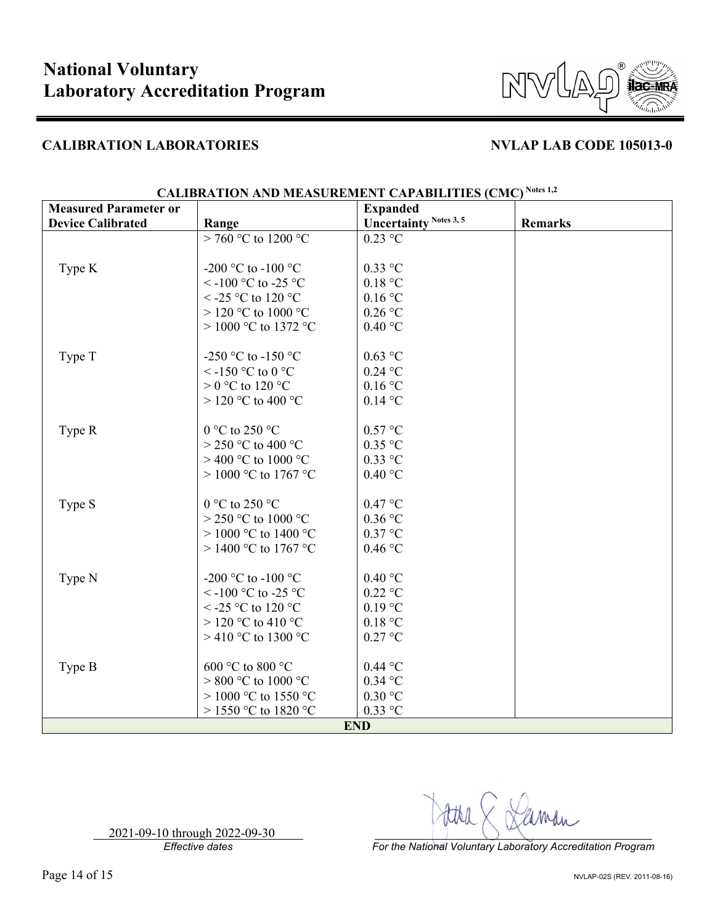

| <b>Measured Parameter or</b> |                         | <b>Expanded</b>               |                |
|------------------------------|-------------------------|-------------------------------|----------------|
| <b>Device Calibrated</b>     | Range                   | <b>Uncertainty Notes 3, 5</b> | <b>Remarks</b> |
|                              | > 760 °C to 1200 °C     | $0.23$ °C                     |                |
|                              |                         |                               |                |
| Type K                       | -200 °C to -100 °C      | $0.33$ °C                     |                |
|                              | <-100 °C to -25 °C      | 0.18 °C                       |                |
|                              | $\le$ -25 °C to 120 °C  | 0.16 °C                       |                |
|                              | $>$ 120 °C to 1000 °C   | $0.26$ °C                     |                |
|                              | > 1000 °C to 1372 °C    | 0.40 °C                       |                |
|                              |                         |                               |                |
| Type T                       | -250 °C to -150 °C      | $0.63$ °C                     |                |
|                              | <-150 °C to 0 °C        | $0.24$ °C                     |                |
|                              | $> 0$ °C to 120 °C      | $0.16$ °C                     |                |
|                              | $>$ 120 °C to 400 °C    | $0.14$ °C                     |                |
|                              |                         |                               |                |
| Type R                       | 0 °C to 250 °C          | 0.57 °C                       |                |
|                              | $>$ 250 °C to 400 °C    | $0.35$ °C                     |                |
|                              | $>$ 400 °C to 1000 °C   | $0.33$ °C                     |                |
|                              | $> 1000$ °C to 1767 °C  | 0.40 °C                       |                |
|                              |                         |                               |                |
| Type S                       | 0 °C to 250 °C          | 0.47 °C                       |                |
|                              | $>$ 250 °C to 1000 °C   | $0.36$ °C                     |                |
|                              | > 1000 °C to 1400 °C    | $0.37$ °C                     |                |
|                              | > 1400 °C to 1767 °C    | $0.46\,^{\circ}\mathrm{C}$    |                |
|                              |                         |                               |                |
| Type N                       | -200 °C to -100 °C      | 0.40 °C                       |                |
|                              | $\le$ -100 °C to -25 °C | $0.22$ °C                     |                |
|                              | $\le$ -25 °C to 120 °C  | $0.19$ °C                     |                |
|                              | $>$ 120 °C to 410 °C    | 0.18 °C                       |                |
|                              | > 410 °C to 1300 °C     | $0.27$ °C                     |                |
|                              |                         |                               |                |
| Type B                       | 600 °C to 800 °C        | $0.44$ °C                     |                |
|                              | $> 800$ °C to 1000 °C   | $0.34$ °C                     |                |
|                              | $> 1000$ °C to 1550 °C  | $0.30$ °C                     |                |
|                              | $>$ 1550 °C to 1820 °C  | 0.33 °C                       |                |
| <b>END</b>                   |                         |                               |                |

**CALIBRATION AND MEASUREMENT CAPABILITIES (CMC) Notes 1,2**

2021-09-10 through 2022-09-30